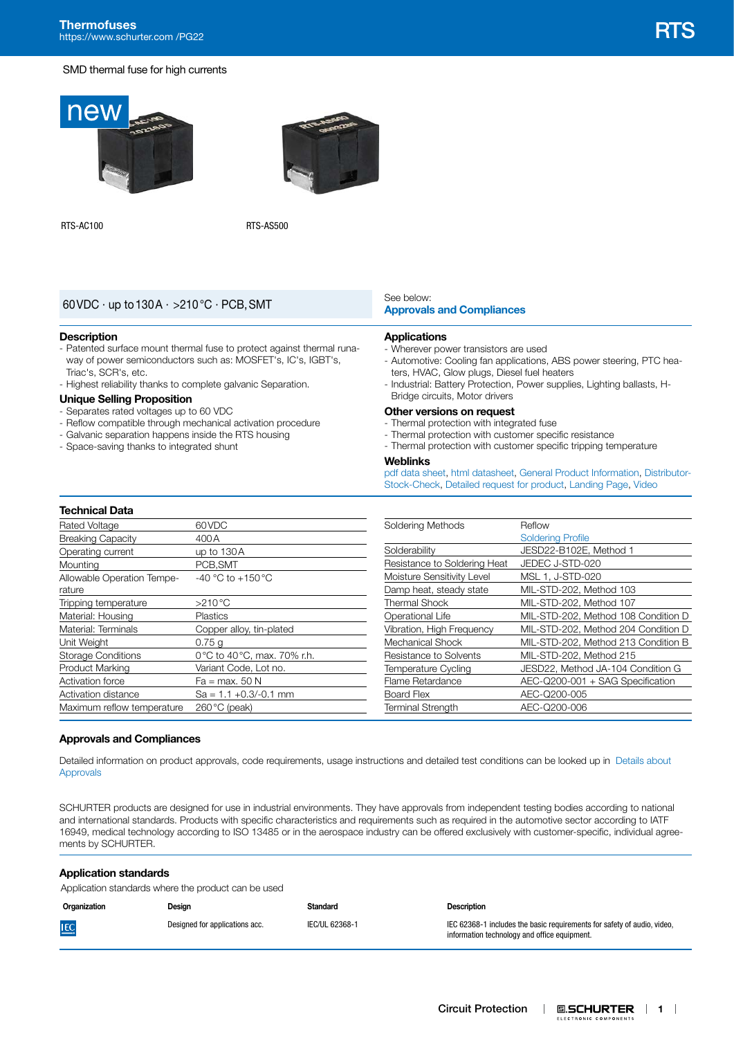#### SMD thermal fuse for high currents





RTS-AC100 RTS-AS500

# **[Approvals and Compliances](#page-0-0)** 60VDC · up to130A · >210°C · PCB,SMT

#### **Description**

- Patented surface mount thermal fuse to protect against thermal runaway of power semiconductors such as: MOSFET's, IC's, IGBT's, Triac's, SCR's, etc.
- Highest reliability thanks to complete galvanic Separation.

#### **Unique Selling Proposition**

- Separates rated voltages up to 60 VDC
- Reflow compatible through mechanical activation procedure
- Galvanic separation happens inside the RTS housing
- Space-saving thanks to integrated shunt

# See below:<br>**Approvals and Compliances**

#### **Applications**

- Wherever power transistors are used
- Automotive: Cooling fan applications, ABS power steering, PTC heaters, HVAC, Glow plugs, Diesel fuel heaters
- Industrial: Battery Protection, Power supplies, Lighting ballasts, H-Bridge circuits, Motor drivers

#### **Other versions on request**

- Thermal protection with integrated fuse
- Thermal protection with customer specific resistance
- Thermal protection with customer specific tripping temperature

#### **Weblinks**

[pdf data sheet,](https://www.schurter.com/en/datasheet/typ_RTS.pdf?utm_source=PDF_Files&utm_medium=RTS&utm_campaign=Weblinks) [html datasheet](https://www.schurter.com/en/datasheet/RTS?&utm_source=PDF_Files&utm_medium=RTS&utm_campaign=Weblinks), [General Product Information,](https://www.schurter.ch/en/products/fuses_general_info.asp?language_id=0) [Distributor-](https://www.schurter.com/en/Stock-Check/Stock-Check-Distributor?partnumber1=RTS)[Stock-Check](https://www.schurter.com/en/Stock-Check/Stock-Check-Distributor?partnumber1=RTS), [Detailed request for product,](https://www.schurter.com/en/Contacts/Contact-Form?type=RTS) [Landing Page,](https://www.schurter.com/en/thermal-protection) [Video](https://youtu.be/hPZ3gRtlzcI)

# **Technical Data**

| Rated Voltage              | 60VDC                      |
|----------------------------|----------------------------|
| <b>Breaking Capacity</b>   | 400 A                      |
| Operating current          | up to $130A$               |
| Mounting                   | PCB.SMT                    |
| Allowable Operation Tempe- | $-40$ °C to $+150$ °C      |
| rature                     |                            |
| Tripping temperature       | $>210^{\circ}$ C           |
| Material: Housing          | <b>Plastics</b>            |
| Material: Terminals        | Copper alloy, tin-plated   |
| Unit Weight                | 0.75q                      |
| <b>Storage Conditions</b>  | 0°C to 40°C, max. 70% r.h. |
| <b>Product Marking</b>     | Variant Code, Lot no.      |
| <b>Activation force</b>    | Fa = max. 50 N             |
| Activation distance        | $Sa = 1.1 + 0.3/-0.1$ mm   |
| Maximum reflow temperature | $260^{\circ}$ C (peak)     |
|                            |                            |

| Soldering Methods            | Reflow                              |
|------------------------------|-------------------------------------|
|                              | <b>Soldering Profile</b>            |
| Solderability                | JESD22-B102E, Method 1              |
| Resistance to Soldering Heat | JEDEC J-STD-020                     |
| Moisture Sensitivity Level   | MSL 1, J-STD-020                    |
| Damp heat, steady state      | MIL-STD-202, Method 103             |
| <b>Thermal Shock</b>         | MIL-STD-202, Method 107             |
| Operational Life             | MIL-STD-202, Method 108 Condition D |
| Vibration, High Freguency    | MIL-STD-202, Method 204 Condition D |
| Mechanical Shock             | MIL-STD-202, Method 213 Condition B |
| Resistance to Solvents       | MIL-STD-202, Method 215             |
| <b>Temperature Cycling</b>   | JESD22, Method JA-104 Condition G   |
| Flame Retardance             | AEC-Q200-001 + SAG Specification    |
| Board Flex                   | AEC-Q200-005                        |
| <b>Terminal Strength</b>     | AEC-0200-006                        |

#### <span id="page-0-0"></span>**Approvals and Compliances**

Detailed information on product approvals, code requirements, usage instructions and detailed test conditions can be looked up in [Details about](https://www.schurter.com/en/Components/Connectors/General-Product-Information#1.1)  [Approvals](https://www.schurter.com/en/Components/Connectors/General-Product-Information#1.1)

SCHURTER products are designed for use in industrial environments. They have approvals from independent testing bodies according to national and international standards. Products with specific characteristics and requirements such as required in the automotive sector according to IATF 16949, medical technology according to ISO 13485 or in the aerospace industry can be offered exclusively with customer-specific, individual agreements by SCHURTER.

#### **Application standards**

Application standards where the product can be used

| Organization | Design                         | <b>Standard</b> | <b>Description</b>                                                                                                      |
|--------------|--------------------------------|-----------------|-------------------------------------------------------------------------------------------------------------------------|
| <b>IEC</b>   | Designed for applications acc. | IEC/UL 62368-1  | IEC 62368-1 includes the basic requirements for safety of audio, video,<br>information technology and office equipment. |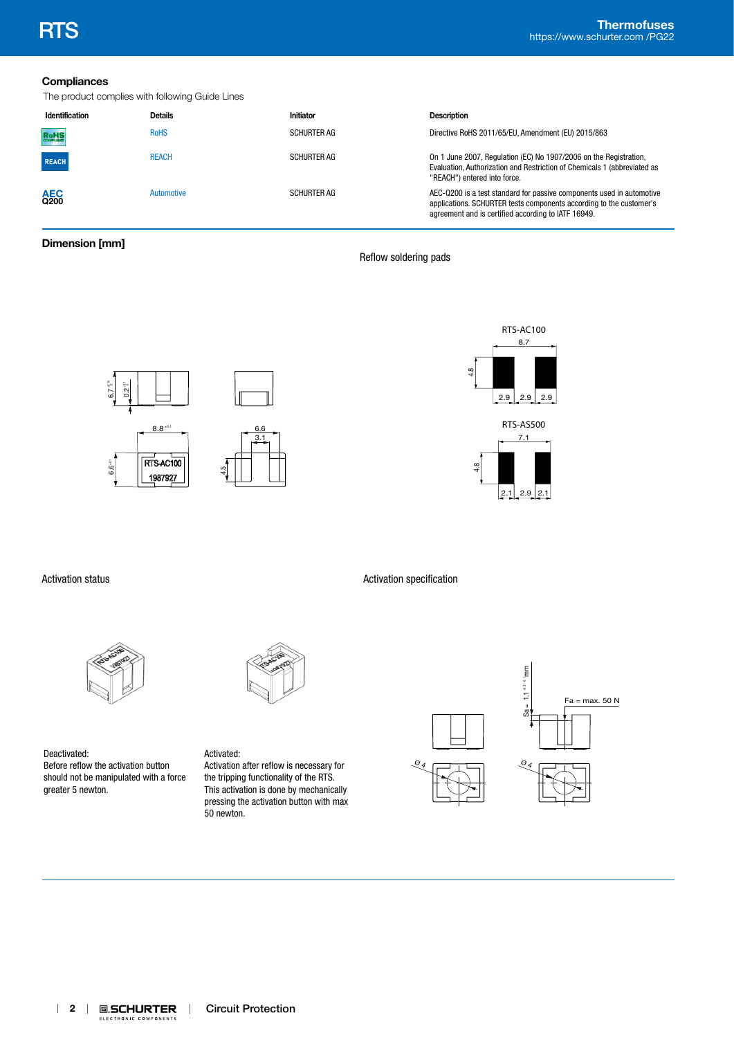# **Compliances**

The product complies with following Guide Lines

| Identification     | <b>Details</b> | Initiator          | <b>Description</b>                                                                                                                                                                                  |
|--------------------|----------------|--------------------|-----------------------------------------------------------------------------------------------------------------------------------------------------------------------------------------------------|
| RoHS               | <b>RoHS</b>    | <b>SCHURTER AG</b> | Directive RoHS 2011/65/EU, Amendment (EU) 2015/863                                                                                                                                                  |
| <b>REACH</b>       | <b>REACH</b>   | <b>SCHURTER AG</b> | On 1 June 2007, Regulation (EC) No 1907/2006 on the Registration,<br>Evaluation, Authorization and Restriction of Chemicals 1 (abbreviated as<br>"REACH") entered into force.                       |
| <b>AEC</b><br>Q200 | Automotive     | <b>SCHURTER AG</b> | AEC-Q200 is a test standard for passive components used in automotive<br>applications. SCHURTER tests components according to the customer's<br>agreement and is certified according to IATF 16949. |

# **Dimension [mm]**

Reflow soldering pads

Activation specification





Activation status



Deactivated: Before reflow the activation button should not be manipulated with a force greater 5 newton.

Activated: Activation after reflow is necessary for the tripping functionality of the RTS. This activation is done by mechanically pressing the activation button with max 50 newton.